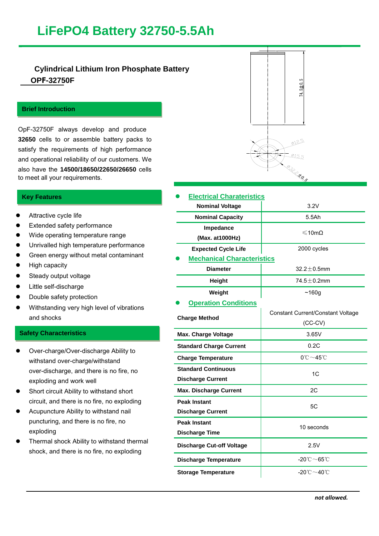# **LiFePO4 Battery 32750-5.5Ah**

# **Cylindrical Lithium Iron Phosphate Battery OPF-32750F**

# **Brief Introduction**

**3.2V5Ah**

**3.2V5Ah**

OpF-32750F always develop and produce **32650** cells to or assemble battery packs to satisfy the requirements of high performance and operational reliability of our customers. We also have the **14500/18650/22650/26650** cells to meet all your requirements.

# **Key Features**

- Attractive cycle life
- Extended safety performance
- Wide operating temperature range
- Unrivalled high temperature performance
- **Green energy without metal contaminant**
- **•** High capacity
- Steady output voltage
- Little self-discharge
- Double safety protection
- Withstanding very high level of vibrations and shocks

### **Safety Characteristics**

- Over-charge/Over-discharge Ability to withstand over-charge/withstand over-discharge, and there is no fire, no exploding and work well
- Short circuit Ability to withstand short circuit, and there is no fire, no exploding
- Acupuncture Ability to withstand nail puncturing, and there is no fire, no exploding
- Thermal shock Ability to withstand thermal shock, and there is no fire, no exploding



| <b>Electrical Charateristics</b>  |                                          |
|-----------------------------------|------------------------------------------|
| <b>Nominal Voltage</b>            | 3.2V                                     |
| <b>Nominal Capacity</b>           | 5.5Ah                                    |
| Impedance                         | ≤10mΩ                                    |
| (Max. at 1000Hz)                  |                                          |
| <b>Expected Cycle Life</b>        | 2000 cycles                              |
| <b>Mechanical Characteristics</b> |                                          |
| <b>Diameter</b>                   | $32.2 \pm 0.5$ mm                        |
| <b>Height</b>                     | $74.5 \pm 0.2$ mm                        |
| Weight                            | ~160g                                    |
| <b>Operation Conditions</b>       |                                          |
| <b>Charge Method</b>              | <b>Constant Current/Constant Voltage</b> |
|                                   | $(CC-CV)$                                |
| <b>Max. Charge Voltage</b>        | 3.65V                                    |
| <b>Standard Charge Current</b>    | 0.2C                                     |
| <b>Charge Temperature</b>         | $0^{\circ}$ C $\sim$ 45 $^{\circ}$ C     |
| <b>Standard Continuous</b>        | 1 <sub>C</sub>                           |
| <b>Discharge Current</b>          |                                          |
| <b>Max. Discharge Current</b>     | 2C                                       |
| <b>Peak Instant</b>               | 5C                                       |
| <b>Discharge Current</b>          |                                          |
| <b>Peak Instant</b>               | 10 seconds                               |
| <b>Discharge Time</b>             |                                          |
| <b>Discharge Cut-off Voltage</b>  | 2.5V                                     |
| <b>Discharge Temperature</b>      | -20 $^{\circ}$ C $\sim$ 65 $^{\circ}$ C  |
| <b>Storage Temperature</b>        | -20℃~40℃                                 |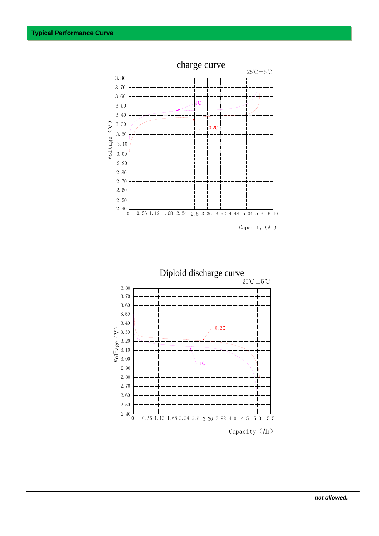

Capacity (Ah)